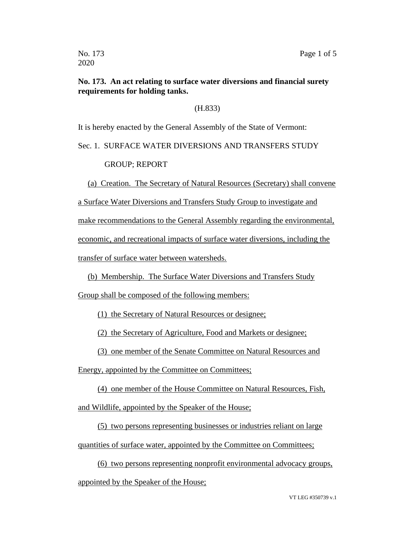## **No. 173. An act relating to surface water diversions and financial surety requirements for holding tanks.**

(H.833)

It is hereby enacted by the General Assembly of the State of Vermont:

## Sec. 1. SURFACE WATER DIVERSIONS AND TRANSFERS STUDY

GROUP; REPORT

(a) Creation. The Secretary of Natural Resources (Secretary) shall convene

a Surface Water Diversions and Transfers Study Group to investigate and

make recommendations to the General Assembly regarding the environmental,

economic, and recreational impacts of surface water diversions, including the

transfer of surface water between watersheds.

(b) Membership. The Surface Water Diversions and Transfers Study

Group shall be composed of the following members:

(1) the Secretary of Natural Resources or designee;

(2) the Secretary of Agriculture, Food and Markets or designee;

(3) one member of the Senate Committee on Natural Resources and

Energy, appointed by the Committee on Committees;

(4) one member of the House Committee on Natural Resources, Fish, and Wildlife, appointed by the Speaker of the House;

(5) two persons representing businesses or industries reliant on large quantities of surface water, appointed by the Committee on Committees;

(6) two persons representing nonprofit environmental advocacy groups, appointed by the Speaker of the House;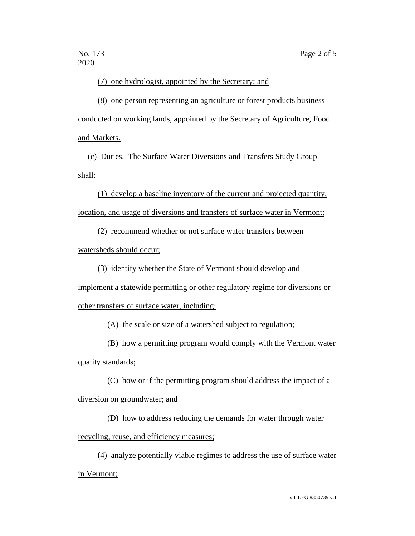(7) one hydrologist, appointed by the Secretary; and

(8) one person representing an agriculture or forest products business conducted on working lands, appointed by the Secretary of Agriculture, Food and Markets.

(c) Duties. The Surface Water Diversions and Transfers Study Group shall:

(1) develop a baseline inventory of the current and projected quantity, location, and usage of diversions and transfers of surface water in Vermont;

(2) recommend whether or not surface water transfers between

watersheds should occur;

(3) identify whether the State of Vermont should develop and

implement a statewide permitting or other regulatory regime for diversions or

other transfers of surface water, including:

(A) the scale or size of a watershed subject to regulation;

(B) how a permitting program would comply with the Vermont water quality standards;

(C) how or if the permitting program should address the impact of a

diversion on groundwater; and

(D) how to address reducing the demands for water through water

recycling, reuse, and efficiency measures;

(4) analyze potentially viable regimes to address the use of surface water in Vermont;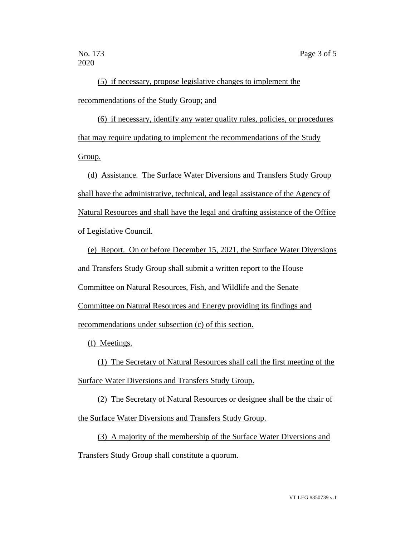2020

(5) if necessary, propose legislative changes to implement the recommendations of the Study Group; and

(6) if necessary, identify any water quality rules, policies, or procedures that may require updating to implement the recommendations of the Study Group.

(d) Assistance. The Surface Water Diversions and Transfers Study Group shall have the administrative, technical, and legal assistance of the Agency of Natural Resources and shall have the legal and drafting assistance of the Office of Legislative Council.

(e) Report. On or before December 15, 2021, the Surface Water Diversions and Transfers Study Group shall submit a written report to the House Committee on Natural Resources, Fish, and Wildlife and the Senate Committee on Natural Resources and Energy providing its findings and recommendations under subsection (c) of this section.

(f) Meetings.

(1) The Secretary of Natural Resources shall call the first meeting of the Surface Water Diversions and Transfers Study Group.

(2) The Secretary of Natural Resources or designee shall be the chair of the Surface Water Diversions and Transfers Study Group.

(3) A majority of the membership of the Surface Water Diversions and Transfers Study Group shall constitute a quorum.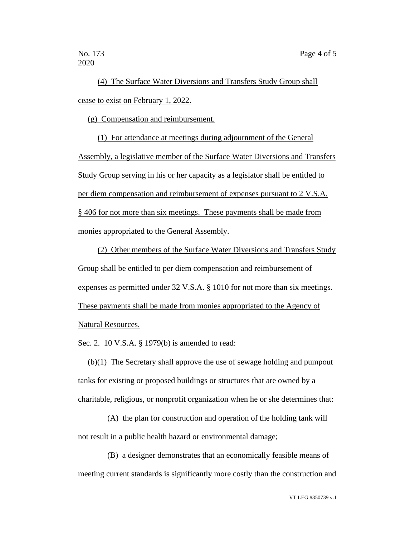(4) The Surface Water Diversions and Transfers Study Group shall cease to exist on February 1, 2022.

(g) Compensation and reimbursement.

(1) For attendance at meetings during adjournment of the General Assembly, a legislative member of the Surface Water Diversions and Transfers Study Group serving in his or her capacity as a legislator shall be entitled to per diem compensation and reimbursement of expenses pursuant to 2 V.S.A. § 406 for not more than six meetings. These payments shall be made from monies appropriated to the General Assembly.

(2) Other members of the Surface Water Diversions and Transfers Study Group shall be entitled to per diem compensation and reimbursement of expenses as permitted under 32 V.S.A. § 1010 for not more than six meetings. These payments shall be made from monies appropriated to the Agency of Natural Resources.

Sec. 2. 10 V.S.A. § 1979(b) is amended to read:

(b)(1) The Secretary shall approve the use of sewage holding and pumpout tanks for existing or proposed buildings or structures that are owned by a charitable, religious, or nonprofit organization when he or she determines that:

(A) the plan for construction and operation of the holding tank will not result in a public health hazard or environmental damage;

(B) a designer demonstrates that an economically feasible means of meeting current standards is significantly more costly than the construction and

VT LEG #350739 v.1